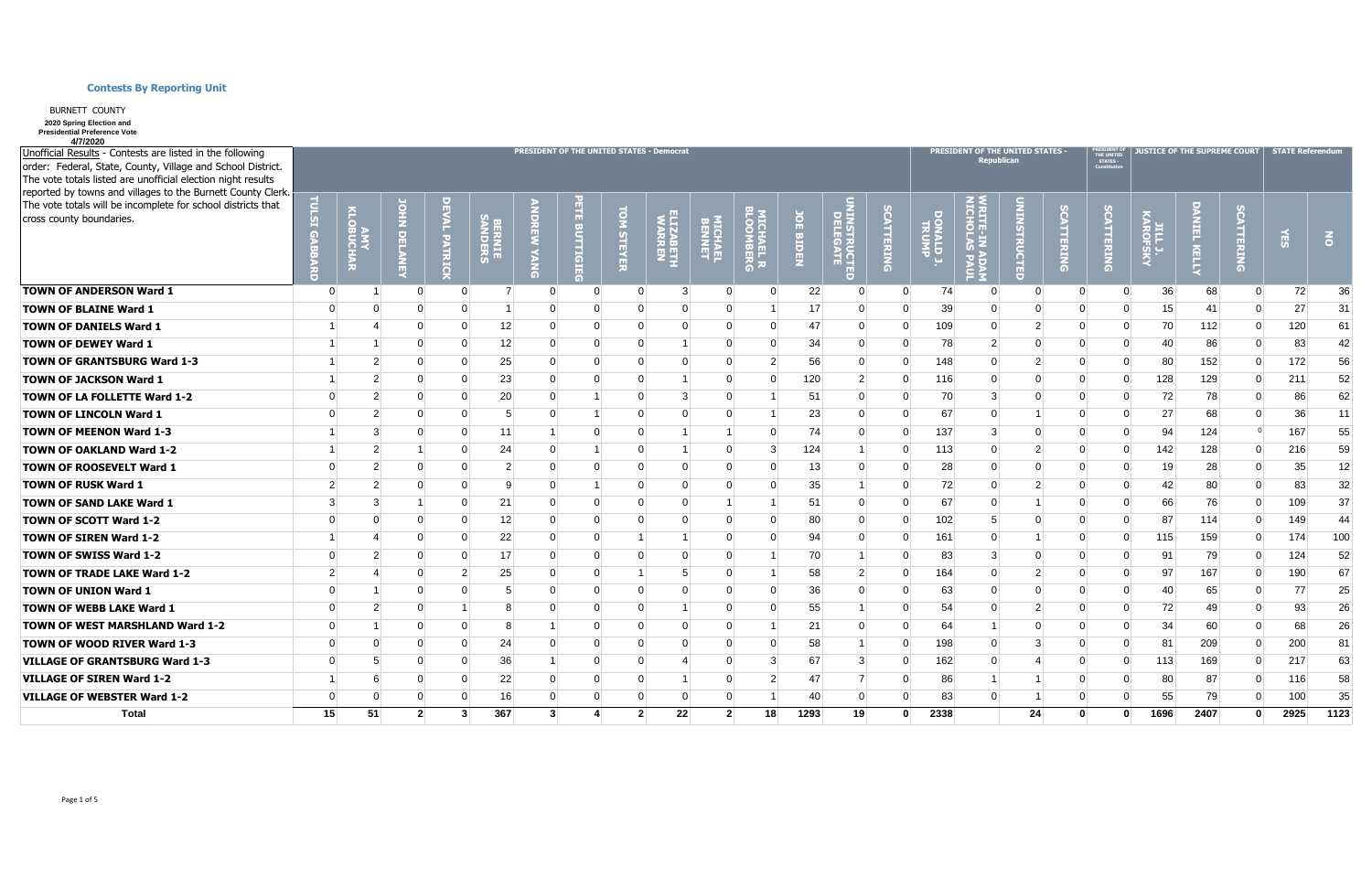| Unofficial Results - Contests are listed in the following<br>order: Federal, State, County, Village and School District.<br>The vote totals listed are unofficial election night results |                | PRESIDENT OF THE UNITED STATES - Democrat |                |                |                           |                |                |                    |                             |          |                                       |                          |                                 |                 |                         | PRESIDENT OF THE UNITED STATES - | <b>Republican</b> |          | <b>PRESIDENT O<br/>THE UNITED<br/>STATES -<br/>Constitution</b> |      | <b>JUSTICE OF THE SUPREME COURT</b> |                | <b>STATE Referendum</b> |           |  |  |
|------------------------------------------------------------------------------------------------------------------------------------------------------------------------------------------|----------------|-------------------------------------------|----------------|----------------|---------------------------|----------------|----------------|--------------------|-----------------------------|----------|---------------------------------------|--------------------------|---------------------------------|-----------------|-------------------------|----------------------------------|-------------------|----------|-----------------------------------------------------------------|------|-------------------------------------|----------------|-------------------------|-----------|--|--|
| reported by towns and villages to the Burnett County Clerk.<br>The vote totals will be incomplete for school districts that                                                              |                |                                           |                |                |                           |                |                |                    |                             |          |                                       |                          |                                 |                 |                         |                                  |                   |          |                                                                 |      |                                     |                |                         |           |  |  |
| cross county boundaries.                                                                                                                                                                 | 内              | <b>INT<br/>SUCHAR</b>                     |                | PATRIC         | <b>BERNIE<br/>SANDERS</b> |                |                | d<br><b>STEYER</b> | <b>ILIZABETH<br/>WARREN</b> | MICHAEL  | <b>ITCHAEL R</b><br>I <b>TCHAEL R</b> | $\Omega$<br><b>BIDEN</b> | <b>UINSTRUCTED<br/>DELEGATE</b> | <b>ATTERING</b> | <b>SONALDJ</b><br>TRUMP |                                  | <b>CTED</b>       | TTERING  | <b>TTERING</b>                                                  |      | <b>RELL</b>                         | <b>TTERING</b> |                         | $\vec{6}$ |  |  |
| <b>TOWN OF ANDERSON Ward 1</b>                                                                                                                                                           | $\overline{0}$ |                                           |                |                |                           | $\Omega$       | $\overline{0}$ |                    | 3                           |          | $\Omega$                              | 22                       | $\Omega$                        | $\Omega$        | 74                      | $\Omega$                         | - 0               | $\Omega$ | $\Omega$                                                        | 36   | 68                                  | $\Omega$       | 72                      | 36        |  |  |
| <b>TOWN OF BLAINE Ward 1</b>                                                                                                                                                             | $\Omega$       |                                           |                | $\Omega$       |                           | $\Omega$       | $\Omega$       | $\Omega$           |                             |          |                                       | 17                       | $\Omega$                        | <sup>0</sup>    | 39                      | $\Omega$                         |                   | $\Omega$ |                                                                 | 15   | 41                                  | n              | 27                      | 31        |  |  |
| <b>TOWN OF DANIELS Ward 1</b>                                                                                                                                                            |                |                                           |                | $\Omega$       | 12                        | $\Omega$       | $\Omega$       | $\Omega$           |                             | $\Omega$ | $\Omega$                              | 47                       | $\overline{0}$                  | $\Omega$        | 109                     | $\Omega$                         | 2                 | $\Omega$ | $\Omega$                                                        | 70   | 112                                 | $\Omega$       | 120                     | 61        |  |  |
| <b>TOWN OF DEWEY Ward 1</b>                                                                                                                                                              |                |                                           | $\Omega$       | $\Omega$       | 12                        | $\Omega$       | $\Omega$       | $\Omega$           |                             |          | $\Omega$                              | 34                       | $\overline{0}$                  |                 | 78                      | $\overline{2}$                   | $\Omega$          | $\Omega$ | $\Omega$                                                        | 40   | 86                                  | $\Omega$       | 83                      | 42        |  |  |
| <b>TOWN OF GRANTSBURG Ward 1-3</b>                                                                                                                                                       |                | $\overline{2}$                            | $\Omega$       | $\Omega$       | 25                        | $\overline{0}$ | $\Omega$       | $\Omega$           |                             | $\Omega$ | $\overline{2}$                        | 56                       | $\overline{0}$                  | $\Omega$        | 148                     | 0                                | 2                 | $\Omega$ | $\Omega$                                                        | 80   | 152                                 | 0              | 172                     | 56        |  |  |
| <b>TOWN OF JACKSON Ward 1</b>                                                                                                                                                            |                | $\mathcal{P}$                             |                | 0              | 23                        | $\Omega$       |                |                    |                             |          | $\Omega$                              | 120                      | $\overline{2}$                  | ∩               | 116                     | $\Omega$                         | $\Omega$          | $\Omega$ | $\Omega$                                                        | 128  | 129                                 | $\Omega$       | 211                     | 52        |  |  |
| TOWN OF LA FOLLETTE Ward 1-2                                                                                                                                                             | $\Omega$       | $\mathcal{P}$                             |                | 0              | 20                        | $\Omega$       |                |                    |                             |          |                                       | 51                       | $\Omega$                        |                 | 70                      | 3                                | $\Omega$          | $\Omega$ |                                                                 | 72   | 78                                  | $\Omega$       | 86                      | 62        |  |  |
| <b>TOWN OF LINCOLN Ward 1</b>                                                                                                                                                            | $\Omega$       | $\mathcal{P}$                             |                | $\Omega$       | 5                         | $\Omega$       |                |                    |                             |          |                                       | 23                       | $\Omega$                        |                 | 67                      | $\Omega$                         |                   | $\Omega$ |                                                                 | 27   | 68                                  | $\Omega$       | 36 <sup>2</sup>         | 11        |  |  |
| <b>TOWN OF MEENON Ward 1-3</b>                                                                                                                                                           |                | $\mathcal{B}$                             |                | $\Omega$       | 11                        |                | $\Omega$       | $\Omega$           |                             |          | $\Omega$                              | 74                       | $\overline{0}$                  | 0               | 137                     | 3                                | $\Omega$          | $\Omega$ | $\Omega$                                                        | 94   | 124                                 | $\Omega$       | 167                     | 55        |  |  |
| <b>TOWN OF OAKLAND Ward 1-2</b>                                                                                                                                                          |                | $\overline{2}$                            |                | 0              | 24                        | $\Omega$       |                |                    |                             |          | 3                                     | 124                      |                                 |                 | 113                     | $\Omega$                         | -2                | $\Omega$ | $\Omega$                                                        | 142  | 128                                 | $\Omega$       | 216                     | 59        |  |  |
| <b>TOWN OF ROOSEVELT Ward 1</b>                                                                                                                                                          | $\Omega$       | $\overline{2}$                            |                | 0              | $\overline{2}$            | $\Omega$       |                |                    |                             |          | $\Omega$                              | 13                       | $\Omega$                        |                 | 28                      | 0                                |                   | $\Omega$ |                                                                 | 19   | 28                                  | ∩              | 35                      | 12        |  |  |
| <b>TOWN OF RUSK Ward 1</b>                                                                                                                                                               | $\overline{2}$ | $\overline{2}$                            |                | $\Omega$       | 9                         | $\Omega$       |                | $\Omega$           |                             |          | $\Omega$                              | 35                       |                                 | $\Omega$        | 72                      | $\Omega$                         | 2                 | $\Omega$ | $\Omega$                                                        | 42   | 80                                  | $\Omega$       | 83                      | 32        |  |  |
| <b>TOWN OF SAND LAKE Ward 1</b>                                                                                                                                                          | 3              | 3                                         |                | 0              | 21                        | $\Omega$       | $\Omega$       |                    |                             |          |                                       | 51                       | $\Omega$                        | ∩               | 67                      | $\Omega$                         |                   | $\Omega$ | $\Omega$                                                        | 66   | 76                                  | $\Omega$       | 109                     | 37        |  |  |
| <b>TOWN OF SCOTT Ward 1-2</b>                                                                                                                                                            | $\Omega$       | $\Omega$                                  |                | $\Omega$       | 12                        | $\Omega$       |                |                    |                             |          | $\Omega$                              | 80 <sub>2</sub>          | $\Omega$                        | ∩               | 102                     | 5                                | $\Omega$          | $\Omega$ |                                                                 | 87   | 114                                 | $\Omega$       | 149                     | 44        |  |  |
| <b>TOWN OF SIREN Ward 1-2</b>                                                                                                                                                            |                |                                           |                | $\Omega$       | 22                        | $\overline{0}$ | $\Omega$       |                    |                             |          | $\Omega$                              | 94                       | $\Omega$                        | ∩               | 161                     | $\Omega$                         |                   | $\Omega$ | $\Omega$                                                        | 115  | 159                                 | $\Omega$       | 174                     | 100       |  |  |
| <b>TOWN OF SWISS Ward 1-2</b>                                                                                                                                                            | $\Omega$       |                                           |                | $\Omega$       | 17                        | $\Omega$       |                |                    |                             |          |                                       | 70                       | 1                               |                 | 83                      | 3                                | $\Omega$          | $\Omega$ |                                                                 | 91   | 79                                  | $\Omega$       | 124                     | 52        |  |  |
| <b>TOWN OF TRADE LAKE Ward 1-2</b>                                                                                                                                                       | $\mathcal{P}$  |                                           |                | $\overline{2}$ | 25                        | $\Omega$       |                |                    |                             |          |                                       | 58                       | $\overline{2}$                  | 0               | 164                     | $\Omega$                         | 2                 | $\Omega$ |                                                                 | 97   | 167                                 | $\Omega$       | 190                     | 67        |  |  |
| <b>TOWN OF UNION Ward 1</b>                                                                                                                                                              | $\Omega$       |                                           | $\Omega$       | 0              |                           | $\Omega$       | 0              |                    |                             |          | $\Omega$                              | 36 <sup>2</sup>          | $\Omega$                        |                 | 63                      | 0                                | $\Omega$          | $\Omega$ |                                                                 | 40   | 65                                  | $\Omega$       | 77                      | 25        |  |  |
| <b>TOWN OF WEBB LAKE Ward 1</b>                                                                                                                                                          | $\Omega$       | $\overline{2}$                            |                |                |                           | $\Omega$       | $\Omega$       | $\Omega$           |                             | $\Omega$ | $\Omega$                              | 55                       |                                 | 0               | 54                      | $\Omega$                         | 2                 | $\Omega$ | $\Omega$                                                        | 72   | 49                                  | $\Omega$       | 93                      | 26        |  |  |
| <b>TOWN OF WEST MARSHLAND Ward 1-2</b>                                                                                                                                                   | $\Omega$       |                                           | n              | O              | 8                         |                | ∩              |                    |                             |          |                                       | 21                       | $\Omega$                        | O               | 64                      |                                  | $\Omega$          |          |                                                                 | 34   | 60                                  | 0              | 68                      | 26        |  |  |
| <b>TOWN OF WOOD RIVER Ward 1-3</b>                                                                                                                                                       | $\Omega$       |                                           |                | 0              | 24                        |                |                |                    |                             |          | $\Omega$                              | 58                       |                                 | ∩               | 198                     | 0                                | 3                 |          |                                                                 | 81   | 209                                 | 0              | 200                     | 81        |  |  |
| <b>VILLAGE OF GRANTSBURG Ward 1-3</b>                                                                                                                                                    | $\Omega$       |                                           |                | $\Omega$       | 36                        |                | 0              |                    |                             |          | 3                                     | 67                       | 3 <sup>1</sup>                  | 0               | 162                     | 0                                |                   | $\Omega$ |                                                                 | 113  | 169                                 | $\Omega$       | 217                     | 63        |  |  |
| <b>VILLAGE OF SIREN Ward 1-2</b>                                                                                                                                                         |                |                                           | $\Omega$       | $\Omega$       | 22                        | $\Omega$       | 0              | $\Omega$           |                             |          | 2                                     | 47                       | 7                               | 0               | 86                      |                                  |                   | $\Omega$ |                                                                 | 80   | 87                                  | $\Omega$       | 116                     | 58        |  |  |
| <b>VILLAGE OF WEBSTER Ward 1-2</b>                                                                                                                                                       | $\Omega$       | $\Omega$                                  | $\Omega$       | $\Omega$       | 16                        | $\Omega$       | $\Omega$       | $\Omega$           | $\Omega$                    | $\Omega$ |                                       | 40                       | $\Omega$                        | 0               | 83                      | $\Omega$                         |                   | $\Omega$ | $\Omega$                                                        | 55   | 79                                  | $\Omega$       | 100                     | 35        |  |  |
| <b>Total</b>                                                                                                                                                                             | 15             | 51                                        | 2 <sup>1</sup> | $\mathbf{3}$   | 367                       | 3 <sup>l</sup> |                | 2 <sup>1</sup>     | 22                          |          | 2 <sup>1</sup><br>18                  | 1293                     | 19                              | ŋ               | 2338                    |                                  | 24                | $\Omega$ | $\mathbf{0}$                                                    | 1696 | 2407                                | $\Omega$       | 2925                    | 1123      |  |  |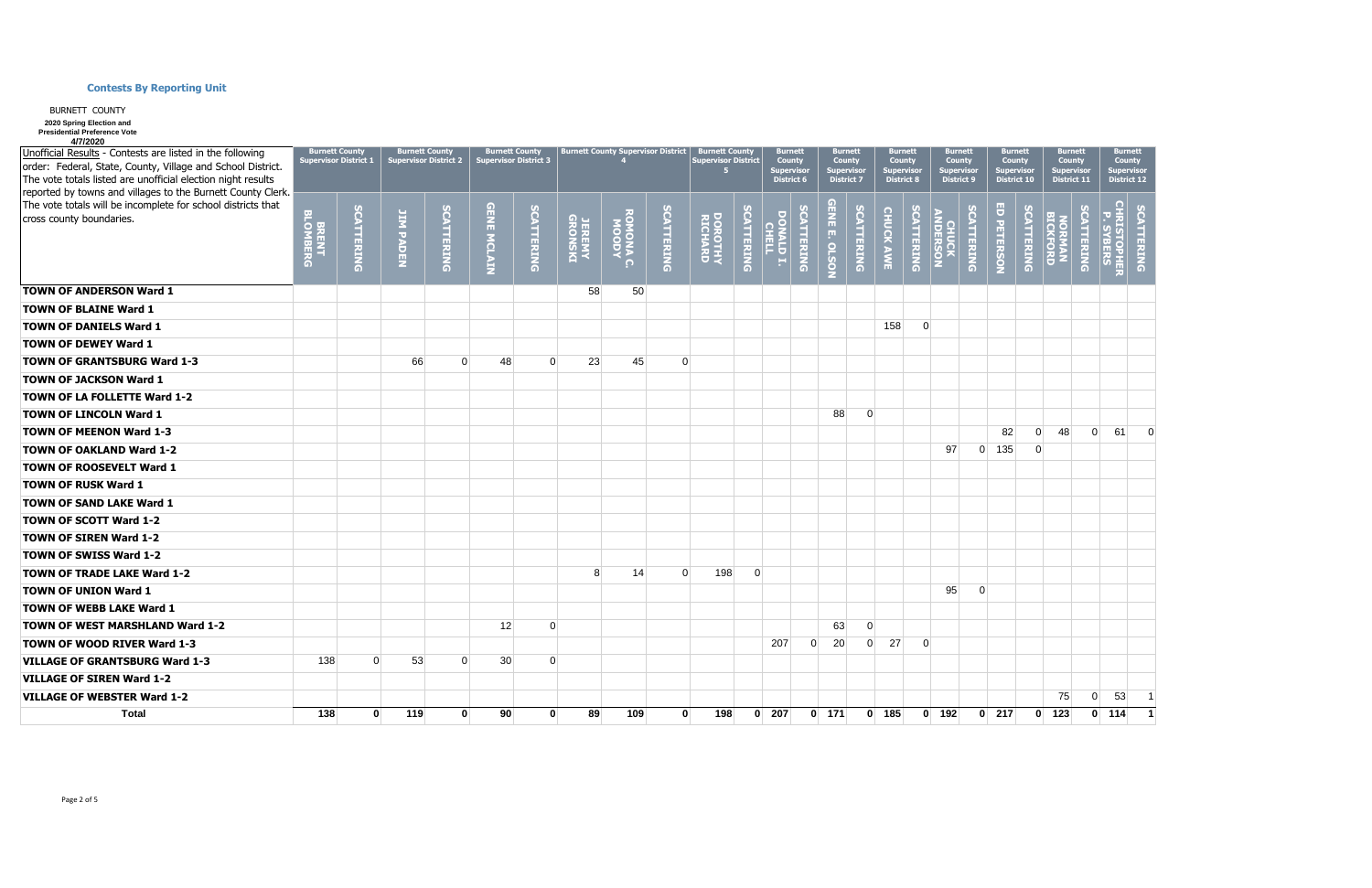| Unofficial Results - Contests are listed in the following<br>order: Federal, State, County, Village and School District.<br>The vote totals listed are unofficial election night results<br>reported by towns and villages to the Burnett County Clerk. |                   | <b>Burnett County</b><br><b>Supervisor District 1</b> |                      | <b>Burnett County</b><br><b>Supervisor District 2</b> |                    | <b>Burnett County</b><br><b>Supervisor District 3</b> |                          | Burnett County Supervisor District   Burnett County |                   | <b>Supervisor District</b> | <b>Burnett</b><br><b>County</b><br>Supervisoı<br><b>District 6</b> |                    | <b>Burnett</b><br><b>County</b><br>Supervisor<br><b>District 7</b> |                      |                   | <b>Burnett</b><br><b>County</b><br>Supervisor<br><b>District 8</b> |                  | <b>Burnett</b><br><b>County</b><br>Supervisor<br><b>District 9</b> | <b>Burnett</b><br><b>County</b><br>Supervisor<br><b>District 10</b> |                       | <b>Burnett</b><br><b>Burnett</b><br><b>County</b><br><b>County</b><br>Supervisoı<br>Supervisor<br><b>District 11</b><br><b>District 12</b> |                    |                   |                                  |                         |
|---------------------------------------------------------------------------------------------------------------------------------------------------------------------------------------------------------------------------------------------------------|-------------------|-------------------------------------------------------|----------------------|-------------------------------------------------------|--------------------|-------------------------------------------------------|--------------------------|-----------------------------------------------------|-------------------|----------------------------|--------------------------------------------------------------------|--------------------|--------------------------------------------------------------------|----------------------|-------------------|--------------------------------------------------------------------|------------------|--------------------------------------------------------------------|---------------------------------------------------------------------|-----------------------|--------------------------------------------------------------------------------------------------------------------------------------------|--------------------|-------------------|----------------------------------|-------------------------|
| The vote totals will be incomplete for school districts that<br>cross county boundaries.                                                                                                                                                                | BRENT<br>BLOMBERG | <b>SCATTERING</b>                                     | <b>JIM PADEN</b>     | <b>SCATTERING</b>                                     | <b>GENE MCLAIN</b> | <b>SCATTERING</b>                                     | <b>JEREMY<br/>JEREMY</b> | <b>AGOON</b><br>$\Omega$                            | <b>SCATTERING</b> | DOROTHY<br>RICHARD         | SCATTERING                                                         | DONALD T.<br>CHELL | <b>SCATTERING</b>                                                  | <b>GENE E. OLSON</b> | <b>SCATTERING</b> | <b>CHUCK AWE</b>                                                   | <b>CATTERING</b> | <b>CHUCK<br/>ANDERSON</b>                                          | <b>SCATTERING</b>                                                   | ED PETERSON           | <b>SCATTERING</b>                                                                                                                          | NORMAN<br>BICKFORD | <b>SCATTERING</b> | <b>CHRISTOPHER<br/>P. SYBERS</b> | <b>CATTERING</b>        |
| <b>TOWN OF ANDERSON Ward 1</b>                                                                                                                                                                                                                          |                   |                                                       |                      |                                                       |                    |                                                       | 58                       | 50                                                  |                   |                            |                                                                    |                    |                                                                    |                      |                   |                                                                    |                  |                                                                    |                                                                     |                       |                                                                                                                                            |                    |                   |                                  |                         |
| <b>TOWN OF BLAINE Ward 1</b>                                                                                                                                                                                                                            |                   |                                                       |                      |                                                       |                    |                                                       |                          |                                                     |                   |                            |                                                                    |                    |                                                                    |                      |                   |                                                                    |                  |                                                                    |                                                                     |                       |                                                                                                                                            |                    |                   |                                  |                         |
| <b>TOWN OF DANIELS Ward 1</b>                                                                                                                                                                                                                           |                   |                                                       |                      |                                                       |                    |                                                       |                          |                                                     |                   |                            |                                                                    |                    |                                                                    |                      |                   | 158                                                                | $\overline{0}$   |                                                                    |                                                                     |                       |                                                                                                                                            |                    |                   |                                  |                         |
| <b>TOWN OF DEWEY Ward 1</b>                                                                                                                                                                                                                             |                   |                                                       |                      |                                                       |                    |                                                       |                          |                                                     |                   |                            |                                                                    |                    |                                                                    |                      |                   |                                                                    |                  |                                                                    |                                                                     |                       |                                                                                                                                            |                    |                   |                                  |                         |
| <b>TOWN OF GRANTSBURG Ward 1-3</b>                                                                                                                                                                                                                      |                   |                                                       | 66                   | $\Omega$                                              | 48                 | $\Omega$                                              | 23                       | 45                                                  | $\Omega$          |                            |                                                                    |                    |                                                                    |                      |                   |                                                                    |                  |                                                                    |                                                                     |                       |                                                                                                                                            |                    |                   |                                  |                         |
| <b>TOWN OF JACKSON Ward 1</b>                                                                                                                                                                                                                           |                   |                                                       |                      |                                                       |                    |                                                       |                          |                                                     |                   |                            |                                                                    |                    |                                                                    |                      |                   |                                                                    |                  |                                                                    |                                                                     |                       |                                                                                                                                            |                    |                   |                                  |                         |
| <b>TOWN OF LA FOLLETTE Ward 1-2</b>                                                                                                                                                                                                                     |                   |                                                       |                      |                                                       |                    |                                                       |                          |                                                     |                   |                            |                                                                    |                    |                                                                    |                      |                   |                                                                    |                  |                                                                    |                                                                     |                       |                                                                                                                                            |                    |                   |                                  |                         |
| <b>TOWN OF LINCOLN Ward 1</b>                                                                                                                                                                                                                           |                   |                                                       |                      |                                                       |                    |                                                       |                          |                                                     |                   |                            |                                                                    |                    |                                                                    | 88                   | $\overline{0}$    |                                                                    |                  |                                                                    |                                                                     |                       |                                                                                                                                            |                    |                   |                                  |                         |
| <b>TOWN OF MEENON Ward 1-3</b>                                                                                                                                                                                                                          |                   |                                                       |                      |                                                       |                    |                                                       |                          |                                                     |                   |                            |                                                                    |                    |                                                                    |                      |                   |                                                                    |                  |                                                                    |                                                                     | 82                    | $\Omega$                                                                                                                                   | 48                 | 0                 | 61                               | $\Omega$                |
| <b>TOWN OF OAKLAND Ward 1-2</b>                                                                                                                                                                                                                         |                   |                                                       |                      |                                                       |                    |                                                       |                          |                                                     |                   |                            |                                                                    |                    |                                                                    |                      |                   |                                                                    |                  | 97                                                                 |                                                                     | $\overline{0}$<br>135 | $\Omega$                                                                                                                                   |                    |                   |                                  |                         |
| <b>TOWN OF ROOSEVELT Ward 1</b>                                                                                                                                                                                                                         |                   |                                                       |                      |                                                       |                    |                                                       |                          |                                                     |                   |                            |                                                                    |                    |                                                                    |                      |                   |                                                                    |                  |                                                                    |                                                                     |                       |                                                                                                                                            |                    |                   |                                  |                         |
| <b>TOWN OF RUSK Ward 1</b>                                                                                                                                                                                                                              |                   |                                                       |                      |                                                       |                    |                                                       |                          |                                                     |                   |                            |                                                                    |                    |                                                                    |                      |                   |                                                                    |                  |                                                                    |                                                                     |                       |                                                                                                                                            |                    |                   |                                  |                         |
| <b>TOWN OF SAND LAKE Ward 1</b>                                                                                                                                                                                                                         |                   |                                                       |                      |                                                       |                    |                                                       |                          |                                                     |                   |                            |                                                                    |                    |                                                                    |                      |                   |                                                                    |                  |                                                                    |                                                                     |                       |                                                                                                                                            |                    |                   |                                  |                         |
| <b>TOWN OF SCOTT Ward 1-2</b>                                                                                                                                                                                                                           |                   |                                                       |                      |                                                       |                    |                                                       |                          |                                                     |                   |                            |                                                                    |                    |                                                                    |                      |                   |                                                                    |                  |                                                                    |                                                                     |                       |                                                                                                                                            |                    |                   |                                  |                         |
| <b>TOWN OF SIREN Ward 1-2</b>                                                                                                                                                                                                                           |                   |                                                       |                      |                                                       |                    |                                                       |                          |                                                     |                   |                            |                                                                    |                    |                                                                    |                      |                   |                                                                    |                  |                                                                    |                                                                     |                       |                                                                                                                                            |                    |                   |                                  |                         |
| <b>TOWN OF SWISS Ward 1-2</b>                                                                                                                                                                                                                           |                   |                                                       |                      |                                                       |                    |                                                       |                          |                                                     |                   |                            |                                                                    |                    |                                                                    |                      |                   |                                                                    |                  |                                                                    |                                                                     |                       |                                                                                                                                            |                    |                   |                                  |                         |
| <b>TOWN OF TRADE LAKE Ward 1-2</b>                                                                                                                                                                                                                      |                   |                                                       |                      |                                                       |                    |                                                       | 8                        | 14                                                  | $\Omega$          | 198                        | $\Omega$                                                           |                    |                                                                    |                      |                   |                                                                    |                  |                                                                    |                                                                     |                       |                                                                                                                                            |                    |                   |                                  |                         |
| <b>TOWN OF UNION Ward 1</b>                                                                                                                                                                                                                             |                   |                                                       |                      |                                                       |                    |                                                       |                          |                                                     |                   |                            |                                                                    |                    |                                                                    |                      |                   |                                                                    |                  | 95                                                                 | $\overline{0}$                                                      |                       |                                                                                                                                            |                    |                   |                                  |                         |
| <b>TOWN OF WEBB LAKE Ward 1</b>                                                                                                                                                                                                                         |                   |                                                       |                      |                                                       |                    |                                                       |                          |                                                     |                   |                            |                                                                    |                    |                                                                    |                      |                   |                                                                    |                  |                                                                    |                                                                     |                       |                                                                                                                                            |                    |                   |                                  |                         |
| <b>TOWN OF WEST MARSHLAND Ward 1-2</b>                                                                                                                                                                                                                  |                   |                                                       |                      |                                                       | 12                 | $\overline{0}$                                        |                          |                                                     |                   |                            |                                                                    |                    |                                                                    | 63                   | $\overline{0}$    |                                                                    |                  |                                                                    |                                                                     |                       |                                                                                                                                            |                    |                   |                                  |                         |
| <b>TOWN OF WOOD RIVER Ward 1-3</b>                                                                                                                                                                                                                      |                   |                                                       |                      |                                                       |                    |                                                       |                          |                                                     |                   |                            |                                                                    | 207                | $\overline{0}$                                                     | 20                   | 0                 | 27                                                                 | $\overline{0}$   |                                                                    |                                                                     |                       |                                                                                                                                            |                    |                   |                                  |                         |
| <b>VILLAGE OF GRANTSBURG Ward 1-3</b>                                                                                                                                                                                                                   | 138               |                                                       | $\overline{0}$<br>53 | $\Omega$                                              | 30 <sup>°</sup>    | $\mathbf 0$                                           |                          |                                                     |                   |                            |                                                                    |                    |                                                                    |                      |                   |                                                                    |                  |                                                                    |                                                                     |                       |                                                                                                                                            |                    |                   |                                  |                         |
| <b>VILLAGE OF SIREN Ward 1-2</b>                                                                                                                                                                                                                        |                   |                                                       |                      |                                                       |                    |                                                       |                          |                                                     |                   |                            |                                                                    |                    |                                                                    |                      |                   |                                                                    |                  |                                                                    |                                                                     |                       |                                                                                                                                            |                    |                   |                                  |                         |
| <b>VILLAGE OF WEBSTER Ward 1-2</b>                                                                                                                                                                                                                      |                   |                                                       |                      |                                                       |                    |                                                       |                          |                                                     |                   |                            |                                                                    |                    |                                                                    |                      |                   |                                                                    |                  |                                                                    |                                                                     |                       |                                                                                                                                            | 75                 | $\overline{0}$    | 53                               | $\overline{1}$          |
| <b>Total</b>                                                                                                                                                                                                                                            | 138               |                                                       | 119<br>$\mathbf{0}$  | $\mathbf{0}$                                          | 90 <sub>1</sub>    | $\mathbf{0}$                                          | 89                       | 109                                                 | $\mathbf{0}$      | 198                        |                                                                    | $0 \quad 207$      |                                                                    | $0$ 171              |                   | $0$ 185                                                            |                  | $0$ 192                                                            |                                                                     | $0$ 217               |                                                                                                                                            | $0$ 123            |                   | $0$ 114                          | $\overline{\mathbf{1}}$ |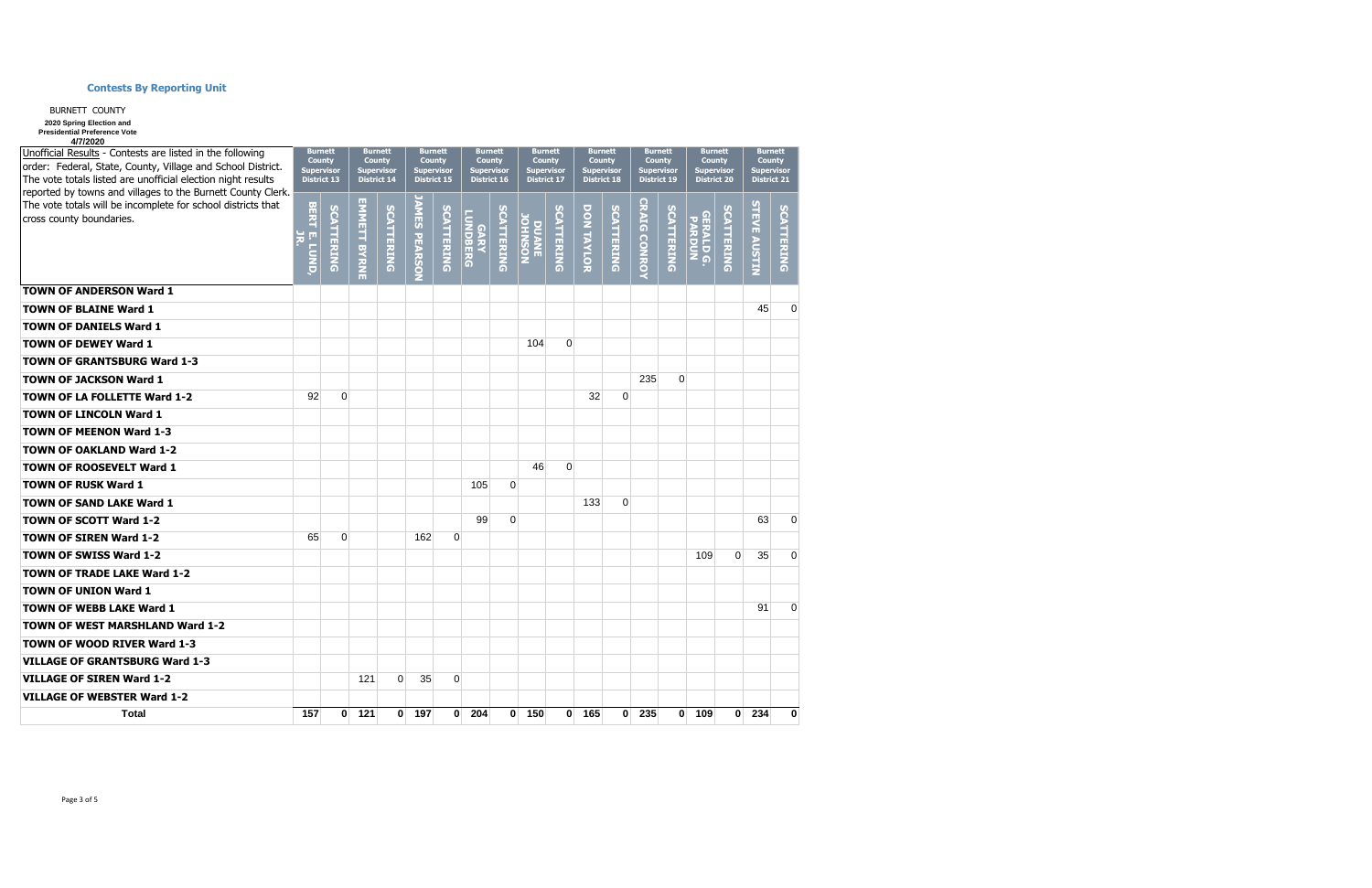| Unofficial Results - Contests are listed in the following<br>order: Federal, State, County, Village and School District.<br>The vote totals listed are unofficial election night results<br>reported by towns and villages to the Burnett County Clerk. |                     | <b>Burnett</b><br><b>County</b><br>Supervisor<br><b>District 13</b> | <b>Burnett</b><br><b>County</b><br><b>Supervisor</b><br><b>District 14</b> |             | <b>Burnett</b><br><b>County</b><br><b>Supervisor</b><br><b>District 15</b> |              | <b>Burnett</b><br><b>County</b><br><b>Supervisor</b><br><b>District 16</b> |                   | <b>Burnett</b><br><b>County</b><br><b>Supervisor</b><br><b>District 17</b> |                              |            | <b>Burnett</b><br><b>County</b><br>Supervisor<br><b>District 18</b> |              | <b>Burnett</b><br><b>County</b><br><b>Supervisor</b><br><b>District 19</b> |                            | <b>Burnett</b><br><b>County</b><br><b>Supervisor</b><br><b>District 20</b> | <b>Burnett</b><br><b>County</b><br><b>Supervisor</b><br><b>District 21</b> |            |  |
|---------------------------------------------------------------------------------------------------------------------------------------------------------------------------------------------------------------------------------------------------------|---------------------|---------------------------------------------------------------------|----------------------------------------------------------------------------|-------------|----------------------------------------------------------------------------|--------------|----------------------------------------------------------------------------|-------------------|----------------------------------------------------------------------------|------------------------------|------------|---------------------------------------------------------------------|--------------|----------------------------------------------------------------------------|----------------------------|----------------------------------------------------------------------------|----------------------------------------------------------------------------|------------|--|
| The vote totals will be incomplete for school districts that<br>cross county boundaries.                                                                                                                                                                | <b>BERT E. LUND</b> | SCATTERING                                                          | <b>EMMETT BYRNE</b>                                                        | SCATTERING  | <b>AMES PEARSON</b>                                                        | SCATTERING   | <b>CARY<br/>CARY</b>                                                       | <b>SCATTERING</b> | NOSNHOL<br><b>DUANE</b>                                                    | $\Omega$<br><b>CATTERING</b> | DON TAYLOR | <b>SCATTERING</b>                                                   | CRAIG CONROY | SCATTERING                                                                 | <b>GERALD G.</b><br>PARDUN | SCATTERING                                                                 | <b>STEVE AUSTIN</b>                                                        | SCATTERING |  |
| <b>TOWN OF ANDERSON Ward 1</b>                                                                                                                                                                                                                          |                     |                                                                     |                                                                            |             |                                                                            |              |                                                                            |                   |                                                                            |                              |            |                                                                     |              |                                                                            |                            |                                                                            |                                                                            |            |  |
| <b>TOWN OF BLAINE Ward 1</b>                                                                                                                                                                                                                            |                     |                                                                     |                                                                            |             |                                                                            |              |                                                                            |                   |                                                                            |                              |            |                                                                     |              |                                                                            |                            |                                                                            | 45                                                                         | 0          |  |
| <b>TOWN OF DANIELS Ward 1</b>                                                                                                                                                                                                                           |                     |                                                                     |                                                                            |             |                                                                            |              |                                                                            |                   |                                                                            |                              |            |                                                                     |              |                                                                            |                            |                                                                            |                                                                            |            |  |
| <b>TOWN OF DEWEY Ward 1</b>                                                                                                                                                                                                                             |                     |                                                                     |                                                                            |             |                                                                            |              |                                                                            |                   | 104                                                                        | $\Omega$                     |            |                                                                     |              |                                                                            |                            |                                                                            |                                                                            |            |  |
| <b>TOWN OF GRANTSBURG Ward 1-3</b>                                                                                                                                                                                                                      |                     |                                                                     |                                                                            |             |                                                                            |              |                                                                            |                   |                                                                            |                              |            |                                                                     |              |                                                                            |                            |                                                                            |                                                                            |            |  |
| <b>TOWN OF JACKSON Ward 1</b>                                                                                                                                                                                                                           |                     |                                                                     |                                                                            |             |                                                                            |              |                                                                            |                   |                                                                            |                              |            |                                                                     | 235          | $\Omega$                                                                   |                            |                                                                            |                                                                            |            |  |
| <b>TOWN OF LA FOLLETTE Ward 1-2</b>                                                                                                                                                                                                                     | 92                  | $\Omega$                                                            |                                                                            |             |                                                                            |              |                                                                            |                   |                                                                            |                              | 32         | 0                                                                   |              |                                                                            |                            |                                                                            |                                                                            |            |  |
| <b>TOWN OF LINCOLN Ward 1</b>                                                                                                                                                                                                                           |                     |                                                                     |                                                                            |             |                                                                            |              |                                                                            |                   |                                                                            |                              |            |                                                                     |              |                                                                            |                            |                                                                            |                                                                            |            |  |
| <b>TOWN OF MEENON Ward 1-3</b>                                                                                                                                                                                                                          |                     |                                                                     |                                                                            |             |                                                                            |              |                                                                            |                   |                                                                            |                              |            |                                                                     |              |                                                                            |                            |                                                                            |                                                                            |            |  |
| <b>TOWN OF OAKLAND Ward 1-2</b>                                                                                                                                                                                                                         |                     |                                                                     |                                                                            |             |                                                                            |              |                                                                            |                   |                                                                            |                              |            |                                                                     |              |                                                                            |                            |                                                                            |                                                                            |            |  |
| <b>TOWN OF ROOSEVELT Ward 1</b>                                                                                                                                                                                                                         |                     |                                                                     |                                                                            |             |                                                                            |              |                                                                            |                   | 46                                                                         | $\mathbf 0$                  |            |                                                                     |              |                                                                            |                            |                                                                            |                                                                            |            |  |
| <b>TOWN OF RUSK Ward 1</b>                                                                                                                                                                                                                              |                     |                                                                     |                                                                            |             |                                                                            |              | 105                                                                        | $\Omega$          |                                                                            |                              |            |                                                                     |              |                                                                            |                            |                                                                            |                                                                            |            |  |
| <b>TOWN OF SAND LAKE Ward 1</b>                                                                                                                                                                                                                         |                     |                                                                     |                                                                            |             |                                                                            |              |                                                                            |                   |                                                                            |                              | 133        | $\Omega$                                                            |              |                                                                            |                            |                                                                            |                                                                            |            |  |
| <b>TOWN OF SCOTT Ward 1-2</b>                                                                                                                                                                                                                           |                     |                                                                     |                                                                            |             |                                                                            |              | 99                                                                         | $\mathbf 0$       |                                                                            |                              |            |                                                                     |              |                                                                            |                            |                                                                            | 63                                                                         | 0          |  |
| <b>TOWN OF SIREN Ward 1-2</b>                                                                                                                                                                                                                           | 65                  | $\Omega$                                                            |                                                                            |             | 162                                                                        | $\Omega$     |                                                                            |                   |                                                                            |                              |            |                                                                     |              |                                                                            |                            |                                                                            |                                                                            |            |  |
| <b>TOWN OF SWISS Ward 1-2</b>                                                                                                                                                                                                                           |                     |                                                                     |                                                                            |             |                                                                            |              |                                                                            |                   |                                                                            |                              |            |                                                                     |              |                                                                            | 109                        | 0                                                                          | 35                                                                         | 0          |  |
| <b>TOWN OF TRADE LAKE Ward 1-2</b>                                                                                                                                                                                                                      |                     |                                                                     |                                                                            |             |                                                                            |              |                                                                            |                   |                                                                            |                              |            |                                                                     |              |                                                                            |                            |                                                                            |                                                                            |            |  |
| <b>TOWN OF UNION Ward 1</b>                                                                                                                                                                                                                             |                     |                                                                     |                                                                            |             |                                                                            |              |                                                                            |                   |                                                                            |                              |            |                                                                     |              |                                                                            |                            |                                                                            |                                                                            |            |  |
| <b>TOWN OF WEBB LAKE Ward 1</b>                                                                                                                                                                                                                         |                     |                                                                     |                                                                            |             |                                                                            |              |                                                                            |                   |                                                                            |                              |            |                                                                     |              |                                                                            |                            |                                                                            | 91                                                                         | 0          |  |
| <b>TOWN OF WEST MARSHLAND Ward 1-2</b>                                                                                                                                                                                                                  |                     |                                                                     |                                                                            |             |                                                                            |              |                                                                            |                   |                                                                            |                              |            |                                                                     |              |                                                                            |                            |                                                                            |                                                                            |            |  |
| <b>TOWN OF WOOD RIVER Ward 1-3</b>                                                                                                                                                                                                                      |                     |                                                                     |                                                                            |             |                                                                            |              |                                                                            |                   |                                                                            |                              |            |                                                                     |              |                                                                            |                            |                                                                            |                                                                            |            |  |
| <b>VILLAGE OF GRANTSBURG Ward 1-3</b>                                                                                                                                                                                                                   |                     |                                                                     |                                                                            |             |                                                                            |              |                                                                            |                   |                                                                            |                              |            |                                                                     |              |                                                                            |                            |                                                                            |                                                                            |            |  |
| <b>VILLAGE OF SIREN Ward 1-2</b>                                                                                                                                                                                                                        |                     |                                                                     | 121                                                                        | $\mathbf 0$ | 35                                                                         | $\Omega$     |                                                                            |                   |                                                                            |                              |            |                                                                     |              |                                                                            |                            |                                                                            |                                                                            |            |  |
| <b>VILLAGE OF WEBSTER Ward 1-2</b>                                                                                                                                                                                                                      |                     |                                                                     |                                                                            |             |                                                                            |              |                                                                            |                   |                                                                            |                              |            |                                                                     |              |                                                                            |                            |                                                                            |                                                                            |            |  |
| Total                                                                                                                                                                                                                                                   | 157                 | $\mathbf{0}$                                                        | 121                                                                        | $\bf{0}$    | 197                                                                        | $\mathbf{0}$ | 204                                                                        | $\bf{0}$          | 150                                                                        | $\mathbf{0}$                 | 165        | $\mathbf{0}$                                                        | 235          | $\bf{0}$                                                                   | 109                        | $\mathbf{0}$                                                               | 234                                                                        | $\bf{0}$   |  |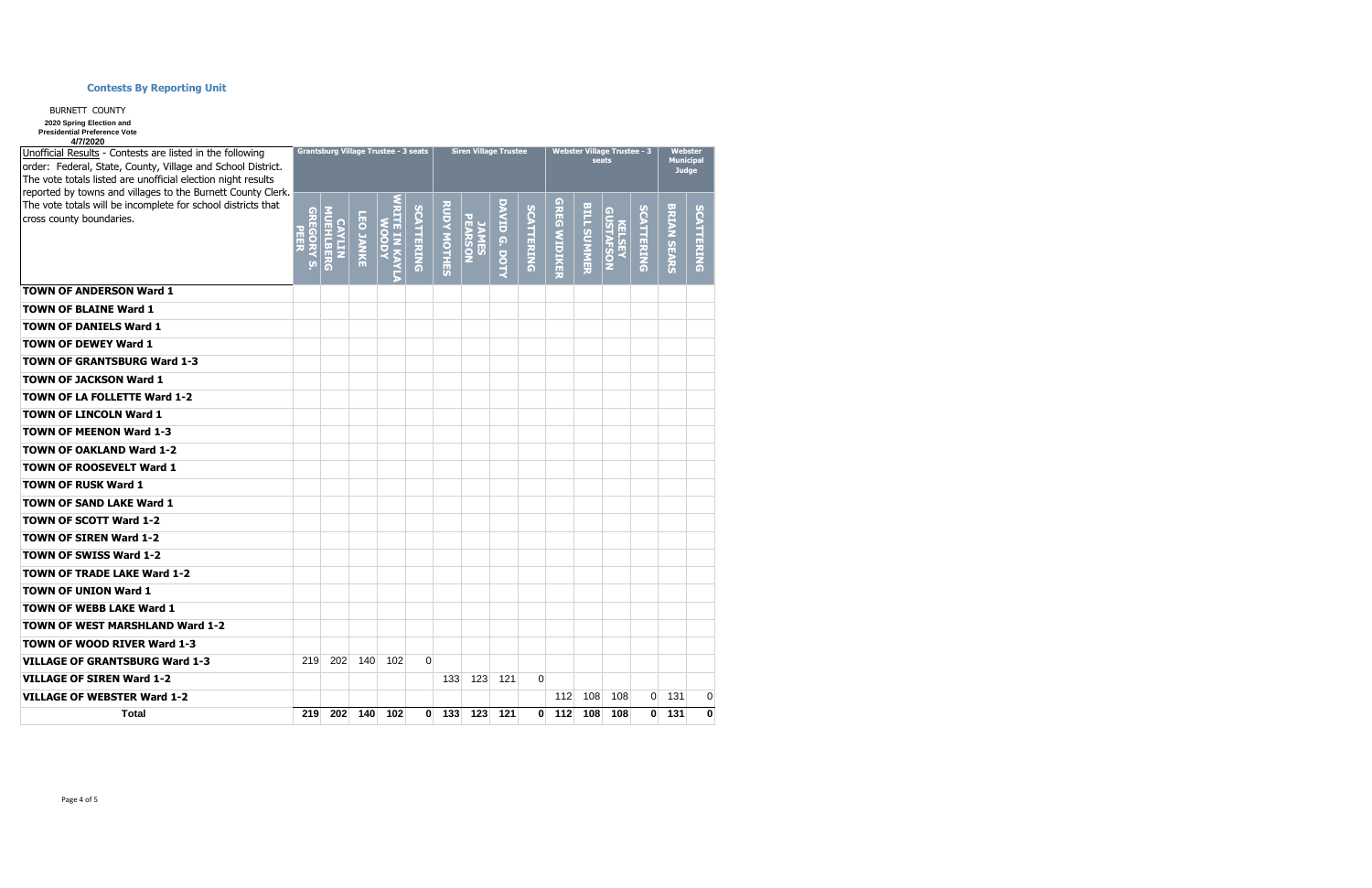| Unofficial Results - Contests are listed in the following<br>order: Federal, State, County, Village and School District.<br>The vote totals listed are unofficial election night results<br>reported by towns and villages to the Burnett County Clerk. |                                          | <b>Grantsburg Village Trustee - 3 seats</b> |                  |                         |              |                    | <b>Siren Village Trustee</b> |               |            |              | <b>Webster Village Trustee - 3</b><br>seats | <b>Webster</b><br><b>Municipal</b><br><b>Judge</b> |            |                    |                   |
|---------------------------------------------------------------------------------------------------------------------------------------------------------------------------------------------------------------------------------------------------------|------------------------------------------|---------------------------------------------|------------------|-------------------------|--------------|--------------------|------------------------------|---------------|------------|--------------|---------------------------------------------|----------------------------------------------------|------------|--------------------|-------------------|
| The vote totals will be incomplete for school districts that<br>cross county boundaries.                                                                                                                                                                | GREGORY<br><b>PEER</b><br>$\overline{a}$ | <b>MUEHLBERG</b><br><b>CAYLIN</b>           | <b>LEO JANKE</b> | VRITE IN KAYLA<br>WOODY | SCATTERING   | <b>RUDY MOTHES</b> | <b>JAMES<br/>PEARSON</b>     | DAVID G. DOTY | SCATTERING | GREG WIDIKER | <b>BILL SUMMER</b>                          | <b>GUSTAFSON</b><br>KELSEY                         | SCATTERING | <b>BRIAN SEARS</b> | <b>SCATTERING</b> |
| <b>TOWN OF ANDERSON Ward 1</b>                                                                                                                                                                                                                          |                                          |                                             |                  |                         |              |                    |                              |               |            |              |                                             |                                                    |            |                    |                   |
| <b>TOWN OF BLAINE Ward 1</b>                                                                                                                                                                                                                            |                                          |                                             |                  |                         |              |                    |                              |               |            |              |                                             |                                                    |            |                    |                   |
| <b>TOWN OF DANIELS Ward 1</b>                                                                                                                                                                                                                           |                                          |                                             |                  |                         |              |                    |                              |               |            |              |                                             |                                                    |            |                    |                   |
| <b>TOWN OF DEWEY Ward 1</b>                                                                                                                                                                                                                             |                                          |                                             |                  |                         |              |                    |                              |               |            |              |                                             |                                                    |            |                    |                   |
| <b>TOWN OF GRANTSBURG Ward 1-3</b>                                                                                                                                                                                                                      |                                          |                                             |                  |                         |              |                    |                              |               |            |              |                                             |                                                    |            |                    |                   |
| <b>TOWN OF JACKSON Ward 1</b>                                                                                                                                                                                                                           |                                          |                                             |                  |                         |              |                    |                              |               |            |              |                                             |                                                    |            |                    |                   |
| TOWN OF LA FOLLETTE Ward 1-2                                                                                                                                                                                                                            |                                          |                                             |                  |                         |              |                    |                              |               |            |              |                                             |                                                    |            |                    |                   |
| <b>TOWN OF LINCOLN Ward 1</b>                                                                                                                                                                                                                           |                                          |                                             |                  |                         |              |                    |                              |               |            |              |                                             |                                                    |            |                    |                   |
| <b>TOWN OF MEENON Ward 1-3</b>                                                                                                                                                                                                                          |                                          |                                             |                  |                         |              |                    |                              |               |            |              |                                             |                                                    |            |                    |                   |
| <b>TOWN OF OAKLAND Ward 1-2</b>                                                                                                                                                                                                                         |                                          |                                             |                  |                         |              |                    |                              |               |            |              |                                             |                                                    |            |                    |                   |
| <b>TOWN OF ROOSEVELT Ward 1</b>                                                                                                                                                                                                                         |                                          |                                             |                  |                         |              |                    |                              |               |            |              |                                             |                                                    |            |                    |                   |
| <b>TOWN OF RUSK Ward 1</b>                                                                                                                                                                                                                              |                                          |                                             |                  |                         |              |                    |                              |               |            |              |                                             |                                                    |            |                    |                   |
| <b>TOWN OF SAND LAKE Ward 1</b>                                                                                                                                                                                                                         |                                          |                                             |                  |                         |              |                    |                              |               |            |              |                                             |                                                    |            |                    |                   |
| <b>TOWN OF SCOTT Ward 1-2</b>                                                                                                                                                                                                                           |                                          |                                             |                  |                         |              |                    |                              |               |            |              |                                             |                                                    |            |                    |                   |
| <b>TOWN OF SIREN Ward 1-2</b>                                                                                                                                                                                                                           |                                          |                                             |                  |                         |              |                    |                              |               |            |              |                                             |                                                    |            |                    |                   |
| <b>TOWN OF SWISS Ward 1-2</b>                                                                                                                                                                                                                           |                                          |                                             |                  |                         |              |                    |                              |               |            |              |                                             |                                                    |            |                    |                   |
| <b>TOWN OF TRADE LAKE Ward 1-2</b>                                                                                                                                                                                                                      |                                          |                                             |                  |                         |              |                    |                              |               |            |              |                                             |                                                    |            |                    |                   |
| <b>TOWN OF UNION Ward 1</b>                                                                                                                                                                                                                             |                                          |                                             |                  |                         |              |                    |                              |               |            |              |                                             |                                                    |            |                    |                   |
| <b>TOWN OF WEBB LAKE Ward 1</b>                                                                                                                                                                                                                         |                                          |                                             |                  |                         |              |                    |                              |               |            |              |                                             |                                                    |            |                    |                   |
| <b>TOWN OF WEST MARSHLAND Ward 1-2</b>                                                                                                                                                                                                                  |                                          |                                             |                  |                         |              |                    |                              |               |            |              |                                             |                                                    |            |                    |                   |
| <b>TOWN OF WOOD RIVER Ward 1-3</b>                                                                                                                                                                                                                      |                                          |                                             |                  |                         |              |                    |                              |               |            |              |                                             |                                                    |            |                    |                   |
| <b>VILLAGE OF GRANTSBURG Ward 1-3</b>                                                                                                                                                                                                                   | 219                                      | 202                                         | 140              | 102                     | $\Omega$     |                    |                              |               |            |              |                                             |                                                    |            |                    |                   |
| <b>VILLAGE OF SIREN Ward 1-2</b>                                                                                                                                                                                                                        |                                          |                                             |                  |                         |              | 133                | 123                          | 121           | $\Omega$   |              |                                             |                                                    |            |                    |                   |
| <b>VILLAGE OF WEBSTER Ward 1-2</b>                                                                                                                                                                                                                      |                                          |                                             |                  |                         |              |                    |                              |               |            | 112          | 108                                         | 108                                                | 0          | 131                | 0                 |
| <b>Total</b>                                                                                                                                                                                                                                            | 219                                      | 202                                         | 140              | 102                     | $\mathbf{0}$ | 133                | 123                          | 121           | $\bf{0}$   | 112          | 108                                         | 108                                                | 0          | 131                | $\mathbf 0$       |